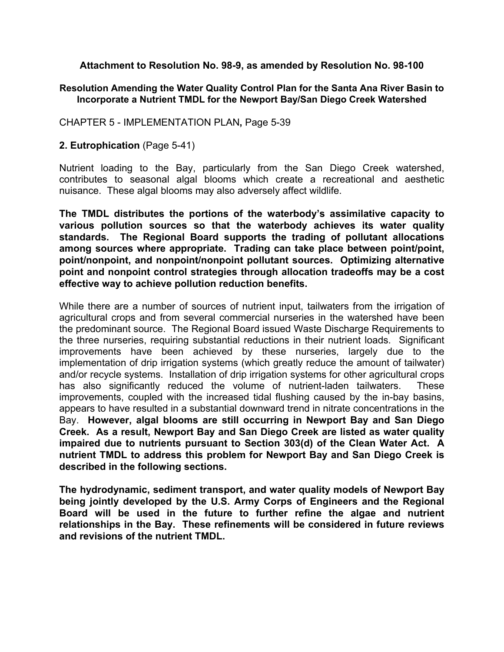**Attachment to Resolution No. 98-9, as amended by Resolution No. 98-100** 

#### **Resolution Amending the Water Quality Control Plan for the Santa Ana River Basin to Incorporate a Nutrient TMDL for the Newport Bay/San Diego Creek Watershed**

CHAPTER 5 - IMPLEMENTATION PLAN**,** Page 5-39

#### **2. Eutrophication** (Page 5-41)

Nutrient loading to the Bay, particularly from the San Diego Creek watershed, contributes to seasonal algal blooms which create a recreational and aesthetic nuisance. These algal blooms may also adversely affect wildlife.

**The TMDL distributes the portions of the waterbody's assimilative capacity to various pollution sources so that the waterbody achieves its water quality standards. The Regional Board supports the trading of pollutant allocations among sources where appropriate. Trading can take place between point/point, point/nonpoint, and nonpoint/nonpoint pollutant sources. Optimizing alternative point and nonpoint control strategies through allocation tradeoffs may be a cost effective way to achieve pollution reduction benefits.** 

While there are a number of sources of nutrient input, tailwaters from the irrigation of agricultural crops and from several commercial nurseries in the watershed have been the predominant source. The Regional Board issued Waste Discharge Requirements to the three nurseries, requiring substantial reductions in their nutrient loads. Significant improvements have been achieved by these nurseries, largely due to the implementation of drip irrigation systems (which greatly reduce the amount of tailwater) and/or recycle systems. Installation of drip irrigation systems for other agricultural crops has also significantly reduced the volume of nutrient-laden tailwaters. These improvements, coupled with the increased tidal flushing caused by the in-bay basins, appears to have resulted in a substantial downward trend in nitrate concentrations in the Bay. **However, algal blooms are still occurring in Newport Bay and San Diego Creek. As a result, Newport Bay and San Diego Creek are listed as water quality impaired due to nutrients pursuant to Section 303(d) of the Clean Water Act. A nutrient TMDL to address this problem for Newport Bay and San Diego Creek is described in the following sections.** 

**The hydrodynamic, sediment transport, and water quality models of Newport Bay being jointly developed by the U.S. Army Corps of Engineers and the Regional Board will be used in the future to further refine the algae and nutrient relationships in the Bay. These refinements will be considered in future reviews and revisions of the nutrient TMDL.**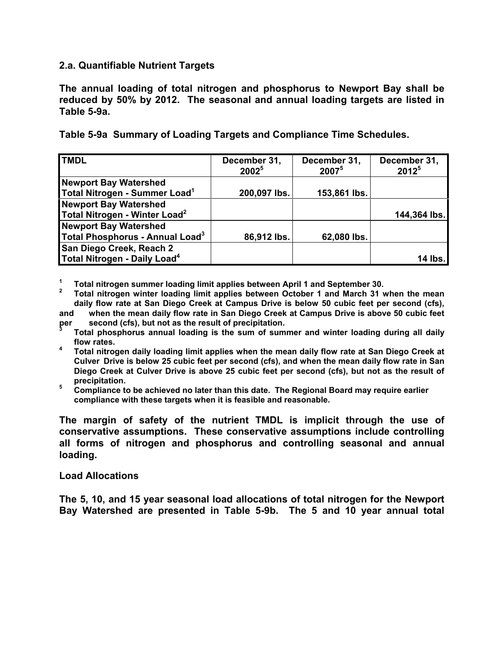#### **2.a. Quantifiable Nutrient Targets**

**The annual loading of total nitrogen and phosphorus to Newport Bay shall be reduced by 50% by 2012. The seasonal and annual loading targets are listed in Table 5-9a.**

**Table 5-9a Summary of Loading Targets and Compliance Time Schedules.** 

| <b>TMDL</b>                               | December 31,<br>2002 <sup>5</sup> | December 31,<br>20075 | December 31,<br>$2012^{5}$ |
|-------------------------------------------|-----------------------------------|-----------------------|----------------------------|
| <b>Newport Bay Watershed</b>              |                                   |                       |                            |
| Total Nitrogen - Summer Load <sup>1</sup> | 200,097 lbs.                      | 153,861 lbs.          |                            |
| <b>Newport Bay Watershed</b>              |                                   |                       |                            |
| Total Nitrogen - Winter Load <sup>2</sup> |                                   |                       | 144,364 lbs.               |
| <b>Newport Bay Watershed</b>              |                                   |                       |                            |
| Total Phosphorus - Annual Load $^3$       | 86,912 lbs.                       | 62,080 lbs.           |                            |
| San Diego Creek, Reach 2                  |                                   |                       |                            |
| Total Nitrogen - Daily Load <sup>4</sup>  |                                   |                       | 14 lbs.                    |

**1 Total nitrogen summer loading limit applies between April 1 and September 30.** 

**2 Total nitrogen winter loading limit applies between October 1 and March 31 when the mean daily flow rate at San Diego Creek at Campus Drive is below 50 cubic feet per second (cfs),** 

- **and when the mean daily flow rate in San Diego Creek at Campus Drive is above 50 cubic feet**  second (cfs), but not as the result of precipitation. per
- **Total phosphorus annual loading is the sum of summer and winter loading during all daily flow rates.**
- **4 Total nitrogen daily loading limit applies when the mean daily flow rate at San Diego Creek at Culver Drive is below 25 cubic feet per second (cfs), and when the mean daily flow rate in San Diego Creek at Culver Drive is above 25 cubic feet per second (cfs), but not as the result of precipitation.**
- **5 Compliance to be achieved no later than this date. The Regional Board may require earlier compliance with these targets when it is feasible and reasonable.**

**The margin of safety of the nutrient TMDL is implicit through the use of conservative assumptions. These conservative assumptions include controlling all forms of nitrogen and phosphorus and controlling seasonal and annual loading.** 

#### **Load Allocations**

**The 5, 10, and 15 year seasonal load allocations of total nitrogen for the Newport Bay Watershed are presented in Table 5-9b. The 5 and 10 year annual total**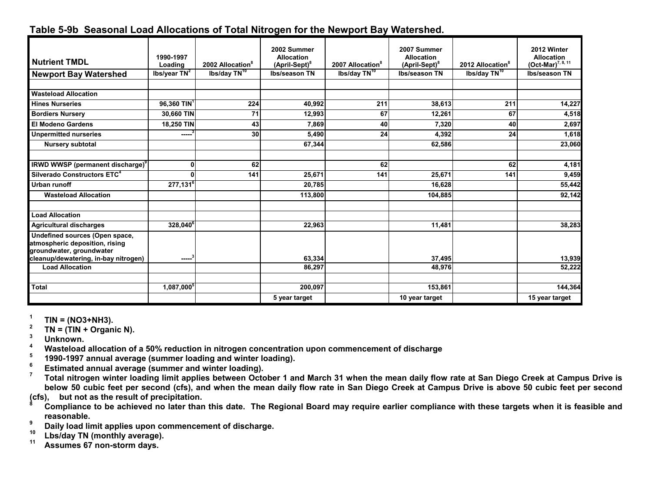|                                                                                              |                         |                              | 2002 Summer                                    |                              | 2007 Summer                                    |                              | 2012 Winter                                           |
|----------------------------------------------------------------------------------------------|-------------------------|------------------------------|------------------------------------------------|------------------------------|------------------------------------------------|------------------------------|-------------------------------------------------------|
| Nutrient TMDL                                                                                | 1990-1997<br>Loading    | 2002 Allocation <sup>8</sup> | <b>Allocation</b><br>(April-Sept) <sup>8</sup> | 2007 Allocation <sup>8</sup> | <b>Allocation</b><br>(April-Sept) <sup>8</sup> | 2012 Allocation <sup>8</sup> | <b>Allocation</b><br>$(Oct$ -Mar) <sup>7, 8, 11</sup> |
| <b>Newport Bay Watershed</b>                                                                 | Ibs/year $TN^2$         | Ibs/day TN <sup>10</sup>     | Ibs/season TN                                  | Ibs/day TN <sup>10</sup>     | Ibs/season TN                                  | Ibs/day TN <sup>10</sup>     | Ibs/season TN                                         |
|                                                                                              |                         |                              |                                                |                              |                                                |                              |                                                       |
| <b>Wasteload Allocation</b>                                                                  |                         |                              |                                                |                              |                                                |                              |                                                       |
| <b>Hines Nurseries</b>                                                                       | 96,360 TIN <sup>1</sup> | 224                          | 40,992                                         | 211                          | 38,613                                         | 211                          | 14,227                                                |
| <b>Bordiers Nursery</b>                                                                      | 30,660 TIN              | 71                           | 12,993                                         | 67                           | 12,261                                         | 67                           | 4,518                                                 |
| El Modeno Gardens                                                                            | 18,250 TIN              | 43                           | 7,869                                          | 40                           | 7,320                                          | 40                           | 2,697                                                 |
| <b>Unpermitted nurseries</b>                                                                 | -----                   | 30                           | 5,490                                          | 24                           | 4,392                                          | 24                           | 1,618                                                 |
| <b>Nursery subtotal</b>                                                                      |                         |                              | 67,344                                         |                              | 62,586                                         |                              | 23,060                                                |
|                                                                                              |                         |                              |                                                |                              |                                                |                              |                                                       |
| <b>IRWD WWSP</b> (permanent discharge) <sup>9</sup>                                          | $\mathbf 0$             | 62                           |                                                | 62                           |                                                | 62                           | 4,181                                                 |
| Silverado Constructors ETC <sup>4</sup>                                                      | 0                       | 141                          | 25,671                                         | 141                          | 25,671                                         | 141                          | 9,459                                                 |
| <b>Urban runoff</b>                                                                          | $277,131^6$             |                              | 20,785                                         |                              | 16,628                                         |                              | 55,442                                                |
| <b>Wasteload Allocation</b>                                                                  |                         |                              | 113,800                                        |                              | 104,885                                        |                              | 92,142                                                |
| <b>Load Allocation</b>                                                                       |                         |                              |                                                |                              |                                                |                              |                                                       |
| <b>Agricultural discharges</b>                                                               | $328,040^6$             |                              | 22,963                                         |                              | 11,481                                         |                              | 38,283                                                |
| Undefined sources (Open space,<br>atmospheric deposition, rising<br>groundwater, groundwater |                         |                              |                                                |                              |                                                |                              |                                                       |
| cleanup/dewatering, in-bay nitrogen)                                                         | ------ <sup>3</sup>     |                              | 63,334                                         |                              | 37,495                                         |                              | 13,939                                                |
| <b>Load Allocation</b>                                                                       |                         |                              | 86,297                                         |                              | 48,976                                         |                              | 52,222                                                |
| <b>Total</b>                                                                                 | $1,087,000^{\circ}$     |                              | 200,097                                        |                              | 153,861                                        |                              | 144,364                                               |
|                                                                                              |                         |                              | 5 year target                                  |                              | 10 year target                                 |                              | 15 year target                                        |

# **Table 5-9b Seasonal Load Allocations of Total Nitrogen for the Newport Bay Watershed.**

<sup>1</sup>  $TN = (NO3+NH3)$ .<br>
<sup>2</sup>  $TN = (TIN + Organic N)$ .<br>
<sup>3</sup> Unknown.

**4 Wasteload allocation of a 50% reduction in nitrogen concentration upon commencement of discharge** 

- <sup>5</sup> 1990-1997 annual average (summer loading and winter loading).<br>
<sup>6</sup> Estimated annual average (summer and winter loading).<br>
<sup>7</sup> Tetal pitrogen winter loading limit anglice between Ottober 1 av
- 

**7 Total nitrogen winter loading limit applies between October 1 and March 31 when the mean daily flow rate at San Diego Creek at Campus Drive is**  below 50 cubic feet per second (cfs), and when the mean daily flow rate in San Diego Creek at Campus Drive is above 50 cubic feet per second (cfs), but not as the result of precipitation.

Compliance to be achieved no later than this date. The Regional Board may require earlier compliance with these targets when it is feasible and **reasonable.** 

<sup>9</sup> Daily load limit applies upon commencement of discharge.<br><sup>10</sup> Lbs/day TN (monthly average).<br><sup>11</sup> Assumes 67 non-storm days.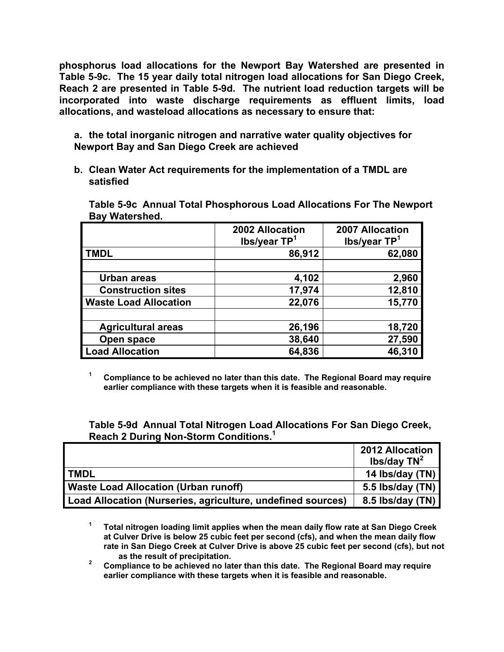**phosphorus load allocations for the Newport Bay Watershed are presented in Table 5-9c. The 15 year daily total nitrogen load allocations for San Diego Creek, Reach 2 are presented in Table 5-9d. The nutrient load reduction targets will be incorporated into waste discharge requirements as effluent limits, load allocations, and wasteload allocations as necessary to ensure that:** 

 **a. the total inorganic nitrogen and narrative water quality objectives for Newport Bay and San Diego Creek are achieved** 

 **b. Clean Water Act requirements for the implementation of a TMDL are satisfied** 

 **Table 5-9c Annual Total Phosphorous Load Allocations For The Newport Bay Watershed.** 

|                              | 2002 Allocation<br>lbs/year TP <sup>1</sup> | 2007 Allocation<br>lbs/year TP <sup>1</sup> |  |  |  |  |
|------------------------------|---------------------------------------------|---------------------------------------------|--|--|--|--|
| <b>TMDL</b>                  | 86,912                                      | 62,080                                      |  |  |  |  |
|                              |                                             |                                             |  |  |  |  |
| Urban areas                  | 4,102                                       | 2,960                                       |  |  |  |  |
| <b>Construction sites</b>    | 17,974                                      | 12,810                                      |  |  |  |  |
| <b>Waste Load Allocation</b> | 22,076                                      | 15,770                                      |  |  |  |  |
|                              |                                             |                                             |  |  |  |  |
| <b>Agricultural areas</b>    | 26,196                                      | 18,720                                      |  |  |  |  |
| Open space                   | 38,640                                      | 27,590                                      |  |  |  |  |
| <b>Load Allocation</b>       | 64,836                                      | 46,310                                      |  |  |  |  |

<sup>1</sup> Compliance to be achieved no later than this date. The Regional Board may require  **earlier compliance with these targets when it is feasible and reasonable.** 

 **Table 5-9d Annual Total Nitrogen Load Allocations For San Diego Creek, Reach 2 During Non-Storm Conditions.1**

|                                                             | <b>2012 Allocation</b><br>lbs/day $TN^2$ |
|-------------------------------------------------------------|------------------------------------------|
| <b>TMDL</b>                                                 | 14 Ibs/day (TN)                          |
| <b>Waste Load Allocation (Urban runoff)</b>                 | 5.5 lbs/day (TN)                         |
| Load Allocation (Nurseries, agriculture, undefined sources) | 8.5 lbs/day (TN)                         |

 **1 Total nitrogen loading limit applies when the mean daily flow rate at San Diego Creek at Culver Drive is below 25 cubic feet per second (cfs), and when the mean daily flow rate in San Diego Creek at Culver Drive is above 25 cubic feet per second (cfs), but not as the result of precipitation.** 

**2 Compliance to be achieved no later than this date. The Regional Board may require earlier compliance with these targets when it is feasible and reasonable.**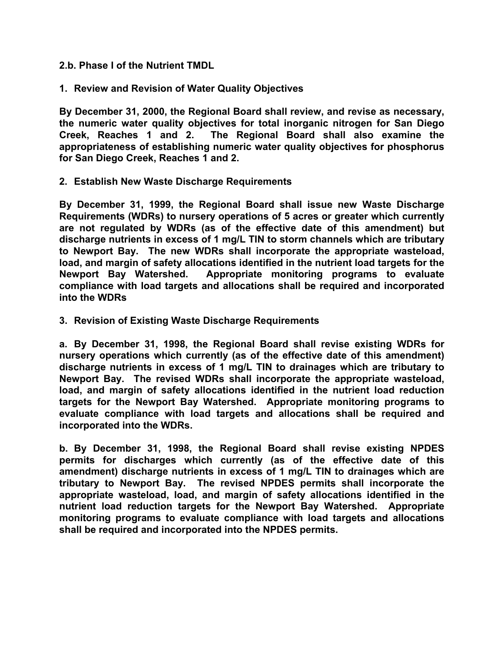- **2.b. Phase I of the Nutrient TMDL**
- **1. Review and Revision of Water Quality Objectives**

**By December 31, 2000, the Regional Board shall review, and revise as necessary, the numeric water quality objectives for total inorganic nitrogen for San Diego Creek, Reaches 1 and 2. The Regional Board shall also examine the appropriateness of establishing numeric water quality objectives for phosphorus for San Diego Creek, Reaches 1 and 2.** 

**2. Establish New Waste Discharge Requirements** 

**By December 31, 1999, the Regional Board shall issue new Waste Discharge Requirements (WDRs) to nursery operations of 5 acres or greater which currently are not regulated by WDRs (as of the effective date of this amendment) but discharge nutrients in excess of 1 mg/L TIN to storm channels which are tributary to Newport Bay. The new WDRs shall incorporate the appropriate wasteload, load, and margin of safety allocations identified in the nutrient load targets for the Newport Bay Watershed. Appropriate monitoring programs to evaluate compliance with load targets and allocations shall be required and incorporated into the WDRs** 

**3. Revision of Existing Waste Discharge Requirements** 

**a. By December 31, 1998, the Regional Board shall revise existing WDRs for nursery operations which currently (as of the effective date of this amendment) discharge nutrients in excess of 1 mg/L TIN to drainages which are tributary to Newport Bay. The revised WDRs shall incorporate the appropriate wasteload, load, and margin of safety allocations identified in the nutrient load reduction targets for the Newport Bay Watershed. Appropriate monitoring programs to evaluate compliance with load targets and allocations shall be required and incorporated into the WDRs.** 

**b. By December 31, 1998, the Regional Board shall revise existing NPDES permits for discharges which currently (as of the effective date of this amendment) discharge nutrients in excess of 1 mg/L TIN to drainages which are tributary to Newport Bay. The revised NPDES permits shall incorporate the appropriate wasteload, load, and margin of safety allocations identified in the nutrient load reduction targets for the Newport Bay Watershed. Appropriate monitoring programs to evaluate compliance with load targets and allocations shall be required and incorporated into the NPDES permits.**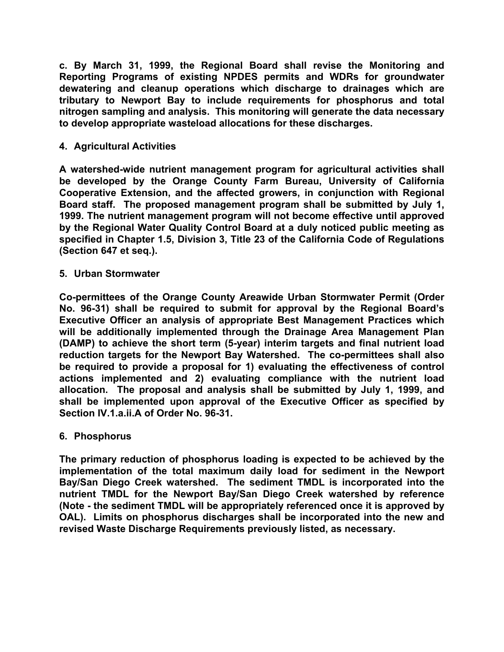**c. By March 31, 1999, the Regional Board shall revise the Monitoring and Reporting Programs of existing NPDES permits and WDRs for groundwater dewatering and cleanup operations which discharge to drainages which are tributary to Newport Bay to include requirements for phosphorus and total nitrogen sampling and analysis. This monitoring will generate the data necessary to develop appropriate wasteload allocations for these discharges.** 

# **4. Agricultural Activities**

**A watershed-wide nutrient management program for agricultural activities shall be developed by the Orange County Farm Bureau, University of California Cooperative Extension, and the affected growers, in conjunction with Regional Board staff. The proposed management program shall be submitted by July 1, 1999. The nutrient management program will not become effective until approved by the Regional Water Quality Control Board at a duly noticed public meeting as specified in Chapter 1.5, Division 3, Title 23 of the California Code of Regulations (Section 647 et seq.).** 

## **5. Urban Stormwater**

**Co-permittees of the Orange County Areawide Urban Stormwater Permit (Order No. 96-31) shall be required to submit for approval by the Regional Board's Executive Officer an analysis of appropriate Best Management Practices which will be additionally implemented through the Drainage Area Management Plan (DAMP) to achieve the short term (5-year) interim targets and final nutrient load reduction targets for the Newport Bay Watershed. The co-permittees shall also be required to provide a proposal for 1) evaluating the effectiveness of control actions implemented and 2) evaluating compliance with the nutrient load allocation. The proposal and analysis shall be submitted by July 1, 1999, and shall be implemented upon approval of the Executive Officer as specified by Section IV.1.a.ii.A of Order No. 96-31.** 

## **6. Phosphorus**

**The primary reduction of phosphorus loading is expected to be achieved by the implementation of the total maximum daily load for sediment in the Newport Bay/San Diego Creek watershed. The sediment TMDL is incorporated into the nutrient TMDL for the Newport Bay/San Diego Creek watershed by reference (Note - the sediment TMDL will be appropriately referenced once it is approved by OAL). Limits on phosphorus discharges shall be incorporated into the new and revised Waste Discharge Requirements previously listed, as necessary.**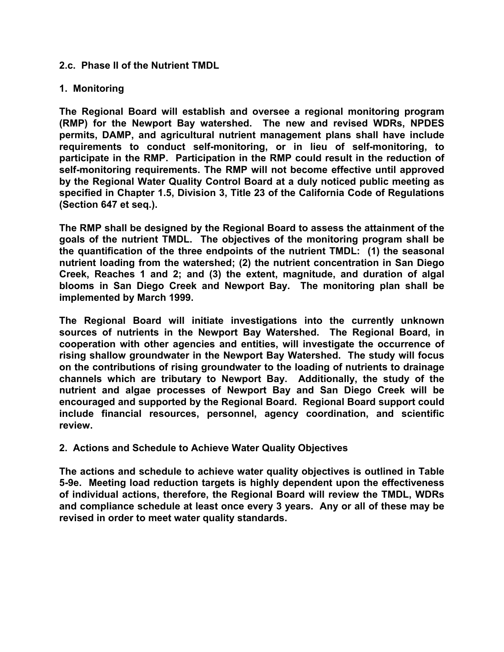## **2.c. Phase II of the Nutrient TMDL**

#### **1. Monitoring**

**The Regional Board will establish and oversee a regional monitoring program (RMP) for the Newport Bay watershed. The new and revised WDRs, NPDES permits, DAMP, and agricultural nutrient management plans shall have include requirements to conduct self-monitoring, or in lieu of self-monitoring, to participate in the RMP. Participation in the RMP could result in the reduction of self-monitoring requirements. The RMP will not become effective until approved by the Regional Water Quality Control Board at a duly noticed public meeting as specified in Chapter 1.5, Division 3, Title 23 of the California Code of Regulations (Section 647 et seq.).** 

**The RMP shall be designed by the Regional Board to assess the attainment of the goals of the nutrient TMDL. The objectives of the monitoring program shall be the quantification of the three endpoints of the nutrient TMDL: (1) the seasonal nutrient loading from the watershed; (2) the nutrient concentration in San Diego Creek, Reaches 1 and 2; and (3) the extent, magnitude, and duration of algal blooms in San Diego Creek and Newport Bay. The monitoring plan shall be implemented by March 1999.** 

**The Regional Board will initiate investigations into the currently unknown sources of nutrients in the Newport Bay Watershed. The Regional Board, in cooperation with other agencies and entities, will investigate the occurrence of rising shallow groundwater in the Newport Bay Watershed. The study will focus on the contributions of rising groundwater to the loading of nutrients to drainage channels which are tributary to Newport Bay. Additionally, the study of the nutrient and algae processes of Newport Bay and San Diego Creek will be encouraged and supported by the Regional Board. Regional Board support could include financial resources, personnel, agency coordination, and scientific review.** 

## **2. Actions and Schedule to Achieve Water Quality Objectives**

**The actions and schedule to achieve water quality objectives is outlined in Table 5-9e. Meeting load reduction targets is highly dependent upon the effectiveness of individual actions, therefore, the Regional Board will review the TMDL, WDRs and compliance schedule at least once every 3 years. Any or all of these may be revised in order to meet water quality standards.**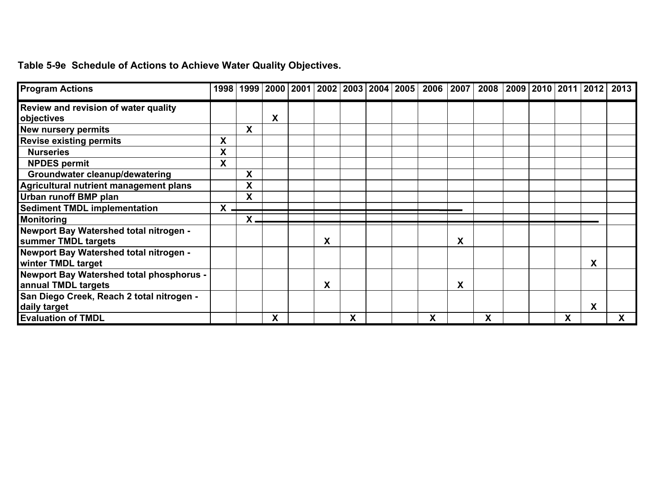# **Table 5-9e Schedule of Actions to Achieve Water Quality Objectives.**

| <b>Program Actions</b>                    |   |    |   |   |   |  | 1998 1999 2000 2001 2002 2003 2004 2005 2006 2007 |   | 2008 | 2009   2010   2011   2012 |   |   | 2013         |
|-------------------------------------------|---|----|---|---|---|--|---------------------------------------------------|---|------|---------------------------|---|---|--------------|
| Review and revision of water quality      |   |    |   |   |   |  |                                                   |   |      |                           |   |   |              |
| objectives                                |   |    | X |   |   |  |                                                   |   |      |                           |   |   |              |
| New nursery permits                       |   | X  |   |   |   |  |                                                   |   |      |                           |   |   |              |
| <b>Revise existing permits</b>            | X |    |   |   |   |  |                                                   |   |      |                           |   |   |              |
| <b>Nurseries</b>                          | Χ |    |   |   |   |  |                                                   |   |      |                           |   |   |              |
| <b>NPDES</b> permit                       | X |    |   |   |   |  |                                                   |   |      |                           |   |   |              |
| Groundwater cleanup/dewatering            |   | X  |   |   |   |  |                                                   |   |      |                           |   |   |              |
| Agricultural nutrient management plans    |   | X  |   |   |   |  |                                                   |   |      |                           |   |   |              |
| Urban runoff BMP plan                     |   | X  |   |   |   |  |                                                   |   |      |                           |   |   |              |
| <b>Sediment TMDL implementation</b>       | X |    |   |   |   |  |                                                   |   |      |                           |   |   |              |
| <b>Monitoring</b>                         |   | Χ. |   |   |   |  |                                                   |   |      |                           |   |   |              |
| Newport Bay Watershed total nitrogen -    |   |    |   |   |   |  |                                                   |   |      |                           |   |   |              |
| summer TMDL targets                       |   |    |   | X |   |  |                                                   | X |      |                           |   |   |              |
| Newport Bay Watershed total nitrogen -    |   |    |   |   |   |  |                                                   |   |      |                           |   |   |              |
| winter TMDL target                        |   |    |   |   |   |  |                                                   |   |      |                           |   | X |              |
| Newport Bay Watershed total phosphorus -  |   |    |   |   |   |  |                                                   |   |      |                           |   |   |              |
| annual TMDL targets                       |   |    |   | X |   |  |                                                   | X |      |                           |   |   |              |
| San Diego Creek, Reach 2 total nitrogen - |   |    |   |   |   |  |                                                   |   |      |                           |   |   |              |
| daily target                              |   |    |   |   |   |  |                                                   |   |      |                           |   | X |              |
| <b>Evaluation of TMDL</b>                 |   |    | X |   | X |  | X                                                 |   | X    |                           | X |   | $\mathsf{X}$ |